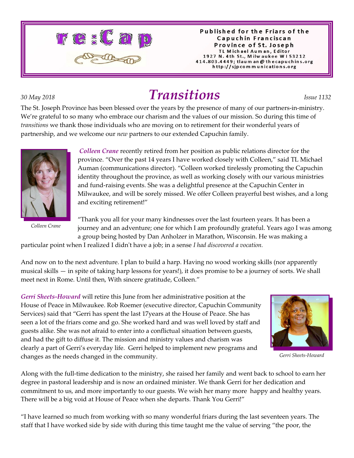

#### Published for the Friars of the Capuchin Franciscan Province of St. Joseph TL Michael Auman, Editor 1927 N. 4th St., Milwaukee W153212 414.803.4449; tlaum an @ thecapuchins.org http://sjpcommunications.org

# *30 May 2018 Transitions Issue 1132*

The St. Joseph Province has been blessed over the years by the presence of many of our partners-in-ministry. We're grateful to so many who embrace our charism and the values of our mission. So during this time of *transitions* we thank those individuals who are moving on to retirement for their wonderful years of partnership, and we welcome our *new* partners to our extended Capuchin family.



*Colleen Crane* recently retired from her position as public relations director for the province. "Over the past 14 years I have worked closely with Colleen," said TL Michael Auman (communications director). "Colleen worked tirelessly promoting the Capuchin identity throughout the province, as well as working closely with our various ministries and fund-raising events. She was a delightful presence at the Capuchin Center in Milwaukee, and will be sorely missed. We offer Colleen prayerful best wishes, and a long and exciting retirement!"

*Colleen Crane*

"Thank you all for your many kindnesses over the last fourteen years. It has been a journey and an adventure; one for which I am profoundly grateful. Years ago I was among a group being hosted by Dan Anholzer in Marathon, Wisconsin. He was making a

particular point when I realized I didn't have a job; in a sense *I had discovered a vocation.*

And now on to the next adventure. I plan to build a harp. Having no wood working skills (nor apparently musical skills — in spite of taking harp lessons for years!), it does promise to be a journey of sorts. We shall meet next in Rome. Until then, With sincere gratitude, Colleen."

*Gerri Sheets-Howard* will retire this June from her administrative position at the House of Peace in Milwaukee. Rob Roemer (executive director, Capuchin Community Services) said that "Gerri has spent the last 17years at the House of Peace. She has seen a lot of the friars come and go. She worked hard and was well loved by staff and guests alike. She was not afraid to enter into a conflictual situation between guests, and had the gift to diffuse it. The mission and ministry values and charism was clearly a part of Gerri's everyday life. Gerri helped to implement new programs and changes as the needs changed in the community.



*Gerri Sheets-Howard*

Along with the full-time dedication to the ministry, she raised her family and went back to school to earn her degree in pastoral leadership and is now an ordained minister. We thank Gerri for her dedication and commitment to us, and more importantly to our guests. We wish her many more happy and healthy years. There will be a big void at House of Peace when she departs. Thank You Gerri!"

"I have learned so much from working with so many wonderful friars during the last seventeen years. The staff that I have worked side by side with during this time taught me the value of serving "the poor, the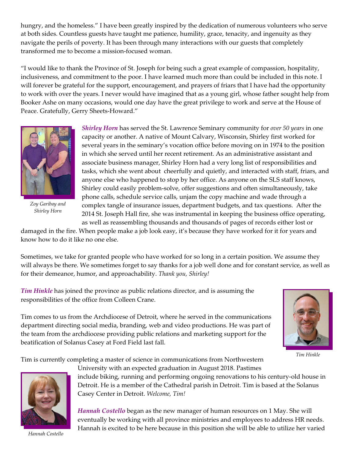hungry, and the homeless." I have been greatly inspired by the dedication of numerous volunteers who serve at both sides. Countless guests have taught me patience, humility, grace, tenacity, and ingenuity as they navigate the perils of poverty. It has been through many interactions with our guests that completely transformed me to become a mission-focused woman.

"I would like to thank the Province of St. Joseph for being such a great example of compassion, hospitality, inclusiveness, and commitment to the poor. I have learned much more than could be included in this note. I will forever be grateful for the support, encouragement, and prayers of friars that I have had the opportunity to work with over the years. I never would have imagined that as a young girl, whose father sought help from Booker Ashe on many occasions, would one day have the great privilege to work and serve at the House of Peace. Gratefully, Gerry Sheets-Howard."



*Zoy Garibay and Shirley Horn*

*Shirley Horn* has served the St. Lawrence Seminary community for *over 50 years* in one capacity or another. A native of Mount Calvary, Wisconsin, Shirley first worked for several years in the seminary's vocation office before moving on in 1974 to the position in which she served until her recent retirement. As an administrative assistant and associate business manager, Shirley Horn had a very long list of responsibilities and tasks, which she went about cheerfully and quietly, and interacted with staff, friars, and anyone else who happened to stop by her office. As anyone on the SLS staff knows, Shirley could easily problem-solve, offer suggestions and often simultaneously, take phone calls, schedule service calls, unjam the copy machine and wade through a complex tangle of insurance issues, department budgets, and tax questions. After the 2014 St. Joseph Hall fire, she was instrumental in keeping the business office operating, as well as reassembling thousands and thousands of pages of records either lost or

damaged in the fire. When people make a job look easy, it's because they have worked for it for years and know how to do it like no one else.

Sometimes, we take for granted people who have worked for so long in a certain position. We assume they will always be there. We sometimes forget to say thanks for a job well done and for constant service, as well as for their demeanor, humor, and approachability. *Thank you, Shirley!*

*Tim Hinkle* has joined the province as public relations director, and is assuming the responsibilities of the office from Colleen Crane.



*Tim Hinkle*

Tim comes to us from the Archdiocese of Detroit, where he served in the communications department directing social media, branding, web and video productions. He was part of the team from the archdiocese providing public relations and marketing support for the beatification of Solanus Casey at Ford Field last fall.

Tim is currently completing a master of science in communications from Northwestern

University with an expected graduation in August 2018. Pastimes include biking, running and performing ongoing renovations to his century-old house in Detroit. He is a member of the Cathedral parish in Detroit. Tim is based at the Solanus Casey Center in Detroit. *Welcome, Tim!*

*Hannah Costello* began as the new manager of human resources on 1 May. She will eventually be working with all province ministries and employees to address HR needs. Hannah is excited to be here because in this position she will be able to utilize her varied

*Hannah Costello*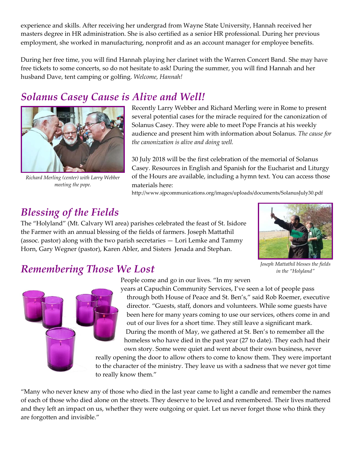experience and skills. After receiving her undergrad from Wayne State University, Hannah received her masters degree in HR administration. She is also certified as a senior HR professional. During her previous employment, she worked in manufacturing, nonprofit and as an account manager for employee benefits.

During her free time, you will find Hannah playing her clarinet with the Warren Concert Band. She may have free tickets to some concerts, so do not hesitate to ask! During the summer, you will find Hannah and her husband Dave, tent camping or golfing. *Welcome, Hannah!*

#### *Solanus Casey Cause is Alive and Well!*



*Richard Merling (center) with Larry Webber meeting the pope.*

Recently Larry Webber and Richard Merling were in Rome to present several potential cases for the miracle required for the canonization of Solanus Casey. They were able to meet Pope Francis at his weekly audience and present him with information about Solanus. *The cause for the canonization is alive and doing well.*

30 July 2018 will be the first celebration of the memorial of Solanus Casey. Resources in English and Spanish for the Eucharist and Liturgy of the Hours are available, including a hymn text. You can access those materials here:

http://www.sjpcommunications.org/images/uploads/documents/SolanusJuly30.pdf

### *Blessing of the Fields*

The "Holyland" (Mt. Calvary WI area) parishes celebrated the feast of St. Isidore the Farmer with an annual blessing of the fields of farmers. Joseph Mattathil (assoc. pastor) along with the two parish secretaries — Lori Lemke and Tammy Horn, Gary Wegner (pastor), Karen Abler, and Sisters Jenada and Stephan.



*Joseph Mattathil blesses the fields in the "Holyland"*

#### *Remembering Those We Lost*

People come and go in our lives. "In my seven

years at Capuchin Community Services, I've seen a lot of people pass through both House of Peace and St. Ben's," said Rob Roemer, executive director. "Guests, staff, donors and volunteers. While some guests have been here for many years coming to use our services, others come in and out of our lives for a short time. They still leave a significant mark. During the month of May, we gathered at St. Ben's to remember all the homeless who have died in the past year (27 to date). They each had their own story. Some were quiet and went about their own business, never

really opening the door to allow others to come to know them. They were important to the character of the ministry. They leave us with a sadness that we never got time to really know them."

"Many who never knew any of those who died in the last year came to light a candle and remember the names of each of those who died alone on the streets. They deserve to be loved and remembered. Their lives mattered and they left an impact on us, whether they were outgoing or quiet. Let us never forget those who think they are forgotten and invisible."